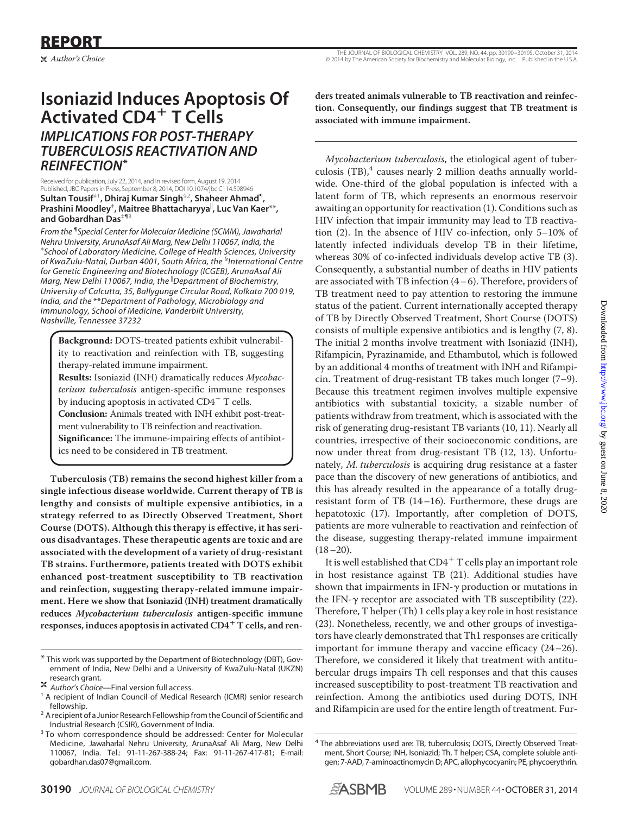## **Isoniazid Induces Apoptosis Of Activated CD4**- **T Cells** *IMPLICATIONS FOR POST-THERAPY TUBERCULOSIS REACTIVATION AND REINFECTION***\***

Received for publication, July 22, 2014, and in revised form, August 19, 2014 Published, JBC Papers in Press, September 8, 2014, DOI 10.1074/jbc.C114.598946 **Sultan Tousif**‡1**, Dhiraj Kumar Singh**§2**, Shaheer Ahmad**¶ **, Prashini Moodley**‡ **, Maitree Bhattacharyya**- **, Luc Van Kaer**\*\***, and Gobardhan Das**‡¶3

*From the* ¶ *Special Center for Molecular Medicine (SCMM), Jawaharlal Nehru University, ArunaAsaf Ali Marg, New Delhi 110067, India, the* ‡ *School of Laboratory Medicine, College of Health Sciences, University of KwaZulu-Natal, Durban 4001, South Africa, the* § *International Centre for Genetic Engineering and Biotechnology (ICGEB), ArunaAsaf Ali* Marg, New Delhi 110067, India, the <sup>II</sup>Department of Biochemistry, *University of Calcutta, 35, Ballygunge Circular Road, Kolkata 700 019, India, and the* \*\**Department of Pathology, Microbiology and Immunology, School of Medicine, Vanderbilt University, Nashville, Tennessee 37232*

**Background:** DOTS-treated patients exhibit vulnerability to reactivation and reinfection with TB, suggesting therapy-related immune impairment.

**Results:** Isoniazid (INH) dramatically reduces *Mycobacterium tuberculosis* antigen-specific immune responses by inducing apoptosis in activated  $CD4^+$  T cells. **Conclusion:** Animals treated with INH exhibit post-treatment vulnerability to TB reinfection and reactivation. **Significance:** The immune-impairing effects of antibiotics need to be considered in TB treatment.

**Tuberculosis (TB) remains the second highest killer from a single infectious disease worldwide. Current therapy of TB is lengthy and consists of multiple expensive antibiotics, in a strategy referred to as Directly Observed Treatment, Short Course (DOTS). Although this therapy is effective, it has serious disadvantages. These therapeutic agents are toxic and are associated with the development of a variety of drug-resistant TB strains. Furthermore, patients treated with DOTS exhibit enhanced post-treatment susceptibility to TB reactivation and reinfection, suggesting therapy-related immune impairment. Here we show that Isoniazid (INH) treatment dramatically reduces** *Mycobacterium tuberculosis* **antigen-specific immune responses, induces apoptosis in activated CD4**- **T cells, and ren-** **ders treated animals vulnerable to TB reactivation and reinfection. Consequently, our findings suggest that TB treatment is associated with immune impairment.**

*Mycobacterium tuberculosis*, the etiological agent of tuberculosis (TB), $4$  causes nearly 2 million deaths annually worldwide. One-third of the global population is infected with a latent form of TB, which represents an enormous reservoir awaiting an opportunity for reactivation (1). Conditions such as HIV infection that impair immunity may lead to TB reactivation (2). In the absence of HIV co-infection, only 5–10% of latently infected individuals develop TB in their lifetime, whereas 30% of co-infected individuals develop active TB (3). Consequently, a substantial number of deaths in HIV patients are associated with TB infection  $(4-6)$ . Therefore, providers of TB treatment need to pay attention to restoring the immune status of the patient. Current internationally accepted therapy of TB by Directly Observed Treatment, Short Course (DOTS) consists of multiple expensive antibiotics and is lengthy (7, 8). The initial 2 months involve treatment with Isoniazid (INH), Rifampicin, Pyrazinamide, and Ethambutol, which is followed by an additional 4 months of treatment with INH and Rifampicin. Treatment of drug-resistant TB takes much longer (7–9). Because this treatment regimen involves multiple expensive antibiotics with substantial toxicity, a sizable number of patients withdraw from treatment, which is associated with the risk of generating drug-resistant TB variants (10, 11). Nearly all countries, irrespective of their socioeconomic conditions, are now under threat from drug-resistant TB (12, 13). Unfortunately, *M. tuberculosis* is acquiring drug resistance at a faster pace than the discovery of new generations of antibiotics, and this has already resulted in the appearance of a totally drugresistant form of TB (14–16). Furthermore, these drugs are hepatotoxic (17). Importantly, after completion of DOTS, patients are more vulnerable to reactivation and reinfection of the disease, suggesting therapy-related immune impairment  $(18-20)$ .

It is well established that  $CD4^+$  T cells play an important role in host resistance against TB (21). Additional studies have shown that impairments in IFN- $\gamma$  production or mutations in the IFN- $\gamma$  receptor are associated with TB susceptibility (22). Therefore, T helper (Th) 1 cells play a key role in host resistance (23). Nonetheless, recently, we and other groups of investigators have clearly demonstrated that Th1 responses are critically important for immune therapy and vaccine efficacy (24–26). Therefore, we considered it likely that treatment with antitubercular drugs impairs Th cell responses and that this causes increased susceptibility to post-treatment TB reactivation and reinfection. Among the antibiotics used during DOTS, INH and Rifampicin are used for the entire length of treatment. Fur-



<sup>\*</sup> This work was supported by the Department of Biotechnology (DBT), Government of India, New Delhi and a University of KwaZulu-Natal (UKZN) research grant.<br><sup>3</sup> Author's Choice—Final version full access.

<sup>&</sup>lt;sup>1</sup> A recipient of Indian Council of Medical Research (ICMR) senior research

fellowship.<br><sup>2</sup> A recipient of a Junior Research Fellowship from the Council of Scientific and<br>Industrial Research (CSIR), Government of India.

<sup>&</sup>lt;sup>3</sup> To whom correspondence should be addressed: Center for Molecular Medicine, Jawaharlal Nehru University, ArunaAsaf Ali Marg, New Delhi 110067, India. Tel.: 91-11-267-388-24; Fax: 91-11-267-417-81; E-mail: gobardhan.das07@gmail.com.

<sup>4</sup> The abbreviations used are: TB, tuberculosis; DOTS, Directly Observed Treatment, Short Course; INH, Isoniazid; Th, T helper; CSA, complete soluble antigen; 7-AAD, 7-aminoactinomycin D; APC, allophycocyanin; PE, phycoerythrin.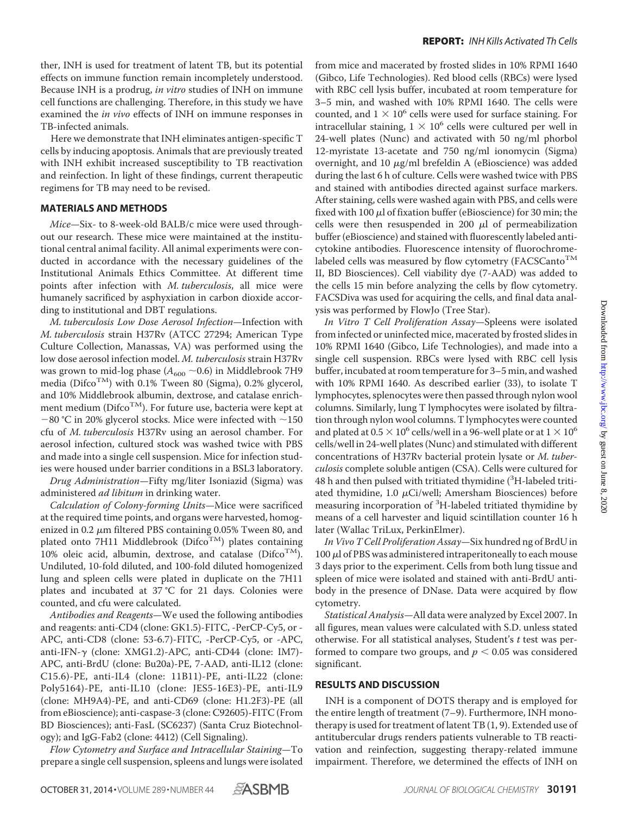ther, INH is used for treatment of latent TB, but its potential effects on immune function remain incompletely understood. Because INH is a prodrug, *in vitro* studies of INH on immune cell functions are challenging. Therefore, in this study we have examined the *in vivo* effects of INH on immune responses in TB-infected animals.

Here we demonstrate that INH eliminates antigen-specific T cells by inducing apoptosis. Animals that are previously treated with INH exhibit increased susceptibility to TB reactivation and reinfection. In light of these findings, current therapeutic regimens for TB may need to be revised.

## **MATERIALS AND METHODS**

*Mice—*Six- to 8-week-old BALB/c mice were used throughout our research. These mice were maintained at the institutional central animal facility. All animal experiments were conducted in accordance with the necessary guidelines of the Institutional Animals Ethics Committee. At different time points after infection with *M. tuberculosis*, all mice were humanely sacrificed by asphyxiation in carbon dioxide according to institutional and DBT regulations.

*M. tuberculosis Low Dose Aerosol Infection—*Infection with *M. tuberculosis* strain H37Rv (ATCC 27294; American Type Culture Collection, Manassas, VA) was performed using the low dose aerosol infection model. *M. tuberculosis* strain H37Rv was grown to mid-log phase  $(A_{600} \sim 0.6)$  in Middlebrook 7H9 media (Difco<sup>TM</sup>) with 0.1% Tween 80 (Sigma), 0.2% glycerol, and 10% Middlebrook albumin, dextrose, and catalase enrichment medium ( $\text{Difco}^{\text{TM}}$ ). For future use, bacteria were kept at  $-80$  °C in 20% glycerol stocks. Mice were infected with  $\sim$ 150 cfu of *M. tuberculosis* H37Rv using an aerosol chamber. For aerosol infection, cultured stock was washed twice with PBS and made into a single cell suspension. Mice for infection studies were housed under barrier conditions in a BSL3 laboratory.

*Drug Administration—*Fifty mg/liter Isoniazid (Sigma) was administered *ad libitum* in drinking water.

*Calculation of Colony-forming Units—*Mice were sacrificed at the required time points, and organs were harvested, homogenized in 0.2  $\mu$ m filtered PBS containing 0.05% Tween 80, and plated onto 7H11 Middlebrook (DifcoTM) plates containing 10% oleic acid, albumin, dextrose, and catalase ( $\text{Difco}^{\text{TM}}$ ). Undiluted, 10-fold diluted, and 100-fold diluted homogenized lung and spleen cells were plated in duplicate on the 7H11 plates and incubated at 37 °C for 21 days. Colonies were counted, and cfu were calculated.

*Antibodies and Reagents—*We used the following antibodies and reagents: anti-CD4 (clone: GK1.5)-FITC, -PerCP-Cy5, or - APC, anti-CD8 (clone: 53-6.7)-FITC, -PerCP-Cy5, or -APC, anti-IFN-γ (clone: XMG1.2)-APC, anti-CD44 (clone: IM7)-APC, anti-BrdU (clone: Bu20a)-PE, 7-AAD, anti-IL12 (clone: C15.6)-PE, anti-IL4 (clone: 11B11)-PE, anti-IL22 (clone: Poly5164)-PE, anti-IL10 (clone: JES5-16E3)-PE, anti-IL9 (clone: MH9A4)-PE, and anti-CD69 (clone: H1.2F3)-PE (all from eBioscience); anti-caspase-3 (clone: C92605)-FITC (From BD Biosciences); anti-FasL (SC6237) (Santa Cruz Biotechnology); and IgG-Fab2 (clone: 4412) (Cell Signaling).

*Flow Cytometry and Surface and Intracellular Staining—*To prepare a single cell suspension, spleens and lungs were isolated from mice and macerated by frosted slides in 10% RPMI 1640 (Gibco, Life Technologies). Red blood cells (RBCs) were lysed with RBC cell lysis buffer, incubated at room temperature for 3–5 min, and washed with 10% RPMI 1640. The cells were counted, and  $1 \times 10^6$  cells were used for surface staining. For intracellular staining,  $1 \times 10^6$  cells were cultured per well in 24-well plates (Nunc) and activated with 50 ng/ml phorbol 12-myristate 13-acetate and 750 ng/ml ionomycin (Sigma) overnight, and 10  $\mu$ g/ml brefeldin A (eBioscience) was added during the last 6 h of culture. Cells were washed twice with PBS and stained with antibodies directed against surface markers. After staining, cells were washed again with PBS, and cells were fixed with 100  $\mu$ l of fixation buffer (eBioscience) for 30 min; the cells were then resuspended in 200  $\mu$ l of permeabilization buffer (eBioscience) and stained with fluorescently labeled anticytokine antibodies. Fluorescence intensity of fluorochromelabeled cells was measured by flow cytometry (FACSCanto<sup>TM</sup> II, BD Biosciences). Cell viability dye (7-AAD) was added to the cells 15 min before analyzing the cells by flow cytometry. FACSDiva was used for acquiring the cells, and final data analysis was performed by FlowJo (Tree Star).

*In Vitro T Cell Proliferation Assay—*Spleens were isolated from infected or uninfected mice, macerated by frosted slides in 10% RPMI 1640 (Gibco, Life Technologies), and made into a single cell suspension. RBCs were lysed with RBC cell lysis buffer, incubated at room temperature for 3–5 min, and washed with 10% RPMI 1640. As described earlier (33), to isolate T lymphocytes, splenocytes were then passed through nylon wool columns. Similarly, lung T lymphocytes were isolated by filtration through nylon wool columns. T lymphocytes were counted and plated at 0.5  $\times$  10<sup>6</sup> cells/well in a 96-well plate or at 1  $\times$  10<sup>6</sup> cells/well in 24-well plates (Nunc) and stimulated with different concentrations of H37Rv bacterial protein lysate or *M. tuberculosis* complete soluble antigen (CSA). Cells were cultured for  $48$  h and then pulsed with tritiated thymidine ( ${}^{3}$ H-labeled tritiated thymidine, 1.0  $\mu$ Ci/well; Amersham Biosciences) before measuring incorporation of <sup>3</sup>H-labeled tritiated thymidine by means of a cell harvester and liquid scintillation counter 16 h later (Wallac TriLux, PerkinElmer).

*In Vivo T Cell Proliferation Assay—*Six hundred ng of BrdU in  $100 \mu$ l of PBS was administered intraperitoneally to each mouse 3 days prior to the experiment. Cells from both lung tissue and spleen of mice were isolated and stained with anti-BrdU antibody in the presence of DNase. Data were acquired by flow cytometry.

*Statistical Analysis—*All data were analyzed by Excel 2007. In all figures, mean values were calculated with S.D. unless stated otherwise. For all statistical analyses, Student's *t* test was performed to compare two groups, and  $p < 0.05$  was considered significant.

## **RESULTS AND DISCUSSION**

INH is a component of DOTS therapy and is employed for the entire length of treatment (7–9). Furthermore, INH monotherapy is used for treatment of latent TB (1, 9). Extended use of antitubercular drugs renders patients vulnerable to TB reactivation and reinfection, suggesting therapy-related immune impairment. Therefore, we determined the effects of INH on

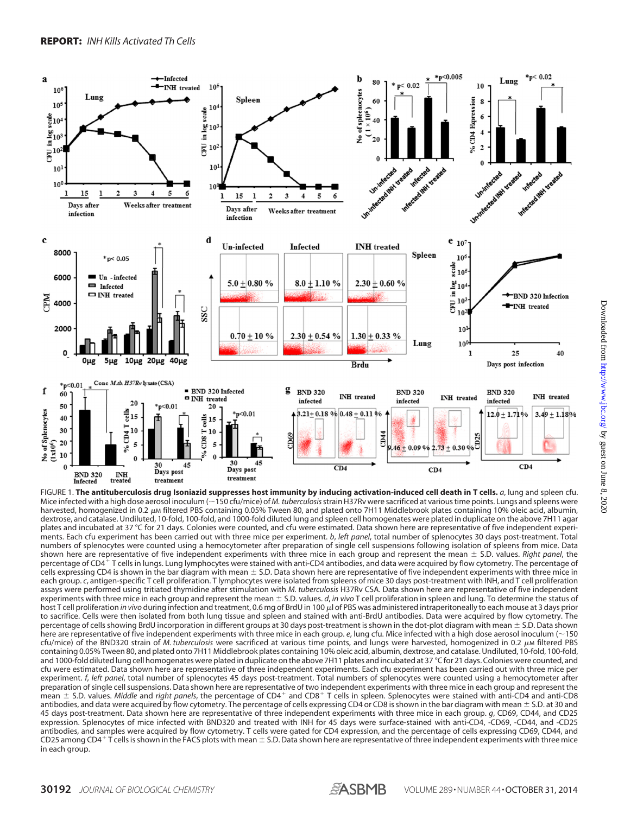

FIGURE 1. **The antituberculosis drug Isoniazid suppresses host immunity by inducing activation-induced cell death in T cells.** *a*, lung and spleen cfu. Mice infected with a high dose aerosol inoculum (~150 cfu/mice) of *M. tuberculosis* strain H37Rv were sacrificed at various time points. Lungs and spleens were harvested, homogenized in 0.2  $\mu$ M filtered PBS containing 0.05% Tween 80, and plated onto 7H11 Middlebrook plates containing 10% oleic acid, albumin, dextrose, and catalase. Undiluted, 10-fold, 100-fold, and 1000-fold diluted lung and spleen cell homogenates were plated in duplicate on the above 7H11 agar plates and incubated at 37 °C for 21 days. Colonies were counted, and cfu were estimated. Data shown here are representative of five independent experiments. Each cfu experiment has been carried out with three mice per experiment. *b*, *left panel*, total number of splenocytes 30 days post-treatment. Total numbers of splenocytes were counted using a hemocytometer after preparation of single cell suspensions following isolation of spleens from mice. Data shown here are representative of five independent experiments with three mice in each group and represent the mean S.D. values. *Right panel*, the percentage of CD4<sup>+</sup> T cells in lungs. Lung lymphocytes were stained with anti-CD4 antibodies, and data were acquired by flow cytometry. The percentage of cells expressing CD4 is shown in the bar diagram with mean  $\pm$  S.D. Data shown here are representative of five independent experiments with three mice in each group. *c*, antigen-specific T cell proliferation. T lymphocytes were isolated from spleens of mice 30 days post-treatment with INH, and T cell proliferation assays were performed using tritiated thymidine after stimulation with *M. tuberculosis* H37Rv CSA. Data shown here are representative of five independent experiments with three mice in each group and represent the mean  $\pm$  S.D. values. *d, in vivo* T cell proliferation in spleen and lung. To determine the status of host T cell proliferation *in vivo* during infection and treatment, 0.6 mg of BrdU in 100 µl of PBS was administered intraperitoneally to each mouse at 3 days prior to sacrifice. Cells were then isolated from both lung tissue and spleen and stained with anti-BrdU antibodies. Data were acquired by flow cytometry. The percentage of cells showing BrdU incorporation in different groups at 30 days post-treatment is shown in the dot-plot diagram with mean  $\pm$  S.D. Data shown here are representative of five independent experiments with three mice in each group. *e*, lung cfu. Mice infected with a high dose aerosol inoculum (~150) cfu/mice) of the BND320 strain of *M. tuberculosis* were sacrificed at various time points, and lungs were harvested, homogenized in 0.2 μm filtered PBS containing 0.05% Tween 80, and plated onto 7H11 Middlebrook plates containing 10% oleic acid, albumin, dextrose, and catalase. Undiluted, 10-fold, 100-fold, and 1000-fold diluted lung cell homogenates were plated in duplicate on the above 7H11 plates and incubated at 37 °C for 21 days. Colonies were counted, and cfu were estimated. Data shown here are representative of three independent experiments. Each cfu experiment has been carried out with three mice per experiment. *f*, *left panel*, total number of splenocytes 45 days post-treatment. Total numbers of splenocytes were counted using a hemocytometer after preparation of single cell suspensions. Data shown here are representative of two independent experiments with three mice in each group and represent the .<br>mean ± S.D. values. *Middle* and *right panels*, the percentage of CD4<sup>+</sup> and CD8<sup>+</sup> T cells in spleen. Splenocytes were stained with anti-CD4 and anti-CD8 antibodies, and data were acquired by flow cytometry. The percentage of cells expressing CD4 or CD8 is shown in the bar diagram with mean  $\pm$  S.D. at 30 and 45 days post-treatment. Data shown here are representative of three independent experiments with three mice in each group. *g*, CD69, CD44, and CD25 expression. Splenocytes of mice infected with BND320 and treated with INH for 45 days were surface-stained with anti-CD4, -CD69, -CD44, and -CD25 antibodies, and samples were acquired by flow cytometry. T cells were gated for CD4 expression, and the percentage of cells expressing CD69, CD44, and CD25 among CD4 + T cells is shown in the FACS plots with mean  $\pm$  S.D. Data shown here are representative of three independent experiments with three mice in each group.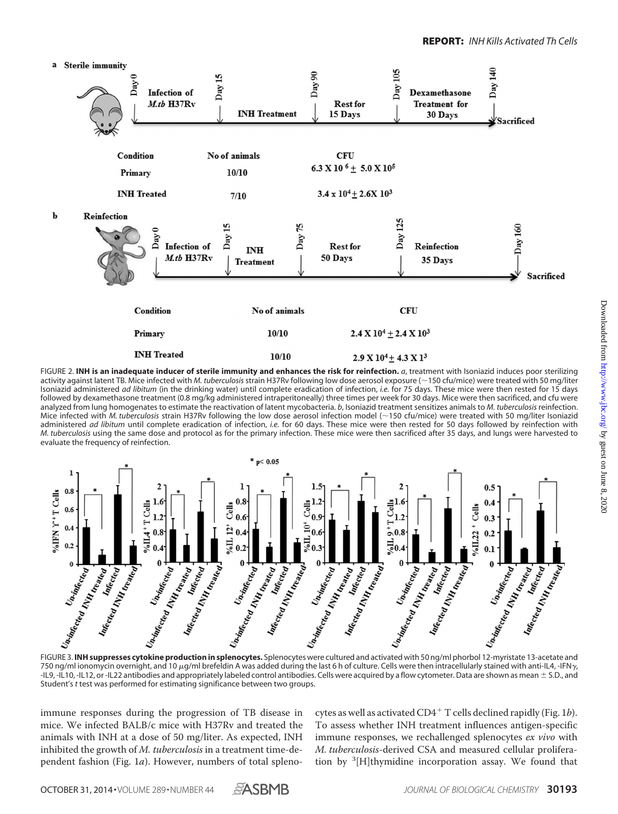

FIGURE 2. **INH is an inadequate inducer of sterile immunity and enhances the risk for reinfection.** *a*, treatment with Isoniazid induces poor sterilizing activity against latent TB. Mice infected with *M. tuberculosis* strain H37Rv following low dose aerosol exposure (~150 cfu/mice) were treated with 50 mg/liter Isoniazid administered *ad libitum* (in the drinking water) until complete eradication of infection, *i.e.* for 75 days. These mice were then rested for 15 days followed by dexamethasone treatment (0.8 mg/kg administered intraperitoneally) three times per week for 30 days. Mice were then sacrificed, and cfu were analyzed from lung homogenates to estimate the reactivation of latent mycobacteria. *b*, Isoniazid treatment sensitizes animals to *M. tuberculosis* reinfection. Mice infected with *M. tuberculosis* strain H37Rv following the low dose aerosol infection model (~150 cfu/mice) were treated with 50 mg/liter Isoniazid administered *ad libitum* until complete eradication of infection, *i.e.* for 60 days. These mice were then rested for 50 days followed by reinfection with *M. tuberculosis* using the same dose and protocol as for the primary infection. These mice were then sacrificed after 35 days, and lungs were harvested to evaluate the frequency of reinfection.



750 ng/ml ionomycin overnight, and 10  $\mu$ g/ml brefeldin A was added during the last 6 h of culture. Cells were then intracellularly stained with anti-IL4, -IFN $_{\gamma}$ -IL9, -IL10, -IL12, or -IL22 antibodies and appropriately labeled control antibodies. Cells were acquired by a flow cytometer. Data are shown as mean  $\pm$  S.D., and Student's *t* test was performed for estimating significance between two groups.

immune responses during the progression of TB disease in mice. We infected BALB/c mice with H37Rv and treated the animals with INH at a dose of 50 mg/liter. As expected, INH inhibited the growth of *M. tuberculosis* in a treatment time-dependent fashion (Fig. 1*a*). However, numbers of total splenocytes as well as activated CD4- T cells declined rapidly (Fig. 1*b*). To assess whether INH treatment influences antigen-specific immune responses, we rechallenged splenocytes *ex vivo* with *M. tuberculosis*-derived CSA and measured cellular proliferation by <sup>3</sup>[H]thymidine incorporation assay. We found that

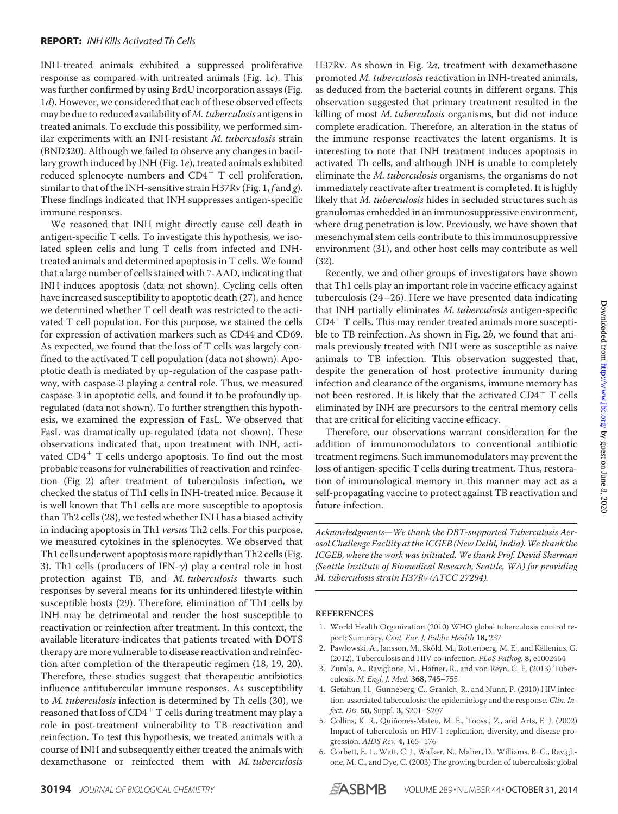INH-treated animals exhibited a suppressed proliferative response as compared with untreated animals (Fig. 1*c*). This was further confirmed by using BrdU incorporation assays (Fig. 1*d*). However, we considered that each of these observed effects may be due to reduced availability of *M. tuberculosis* antigens in treated animals. To exclude this possibility, we performed similar experiments with an INH-resistant *M. tuberculosis* strain (BND320). Although we failed to observe any changes in bacillary growth induced by INH (Fig. 1*e*), treated animals exhibited reduced splenocyte numbers and CD4<sup>+</sup> T cell proliferation, similar to that of the INH-sensitive strain H37Rv (Fig. 1, *f* and *g*). These findings indicated that INH suppresses antigen-specific immune responses.

We reasoned that INH might directly cause cell death in antigen-specific T cells. To investigate this hypothesis, we isolated spleen cells and lung T cells from infected and INHtreated animals and determined apoptosis in T cells. We found that a large number of cells stained with 7-AAD, indicating that INH induces apoptosis (data not shown). Cycling cells often have increased susceptibility to apoptotic death (27), and hence we determined whether T cell death was restricted to the activated T cell population. For this purpose, we stained the cells for expression of activation markers such as CD44 and CD69. As expected, we found that the loss of T cells was largely confined to the activated T cell population (data not shown). Apoptotic death is mediated by up-regulation of the caspase pathway, with caspase-3 playing a central role. Thus, we measured caspase-3 in apoptotic cells, and found it to be profoundly upregulated (data not shown). To further strengthen this hypothesis, we examined the expression of FasL. We observed that FasL was dramatically up-regulated (data not shown). These observations indicated that, upon treatment with INH, activated CD4<sup>+</sup> T cells undergo apoptosis. To find out the most probable reasons for vulnerabilities of reactivation and reinfection (Fig 2) after treatment of tuberculosis infection, we checked the status of Th1 cells in INH-treated mice. Because it is well known that Th1 cells are more susceptible to apoptosis than Th2 cells (28), we tested whether INH has a biased activity in inducing apoptosis in Th1 *versus* Th2 cells. For this purpose, we measured cytokines in the splenocytes. We observed that Th1 cells underwent apoptosis more rapidly than Th2 cells (Fig. 3). Th1 cells (producers of IFN- $\gamma$ ) play a central role in host protection against TB, and *M. tuberculosis* thwarts such responses by several means for its unhindered lifestyle within susceptible hosts (29). Therefore, elimination of Th1 cells by INH may be detrimental and render the host susceptible to reactivation or reinfection after treatment. In this context, the available literature indicates that patients treated with DOTS therapy are more vulnerable to disease reactivation and reinfection after completion of the therapeutic regimen (18, 19, 20). Therefore, these studies suggest that therapeutic antibiotics influence antitubercular immune responses. As susceptibility to *M. tuberculosis* infection is determined by Th cells (30), we reasoned that loss of  $CD4^+$  T cells during treatment may play a role in post-treatment vulnerability to TB reactivation and reinfection. To test this hypothesis, we treated animals with a course of INH and subsequently either treated the animals with dexamethasone or reinfected them with *M. tuberculosis*

H37Rv. As shown in Fig. 2*a*, treatment with dexamethasone promoted *M. tuberculosis* reactivation in INH-treated animals, as deduced from the bacterial counts in different organs. This observation suggested that primary treatment resulted in the killing of most *M. tuberculosis* organisms, but did not induce complete eradication. Therefore, an alteration in the status of the immune response reactivates the latent organisms. It is interesting to note that INH treatment induces apoptosis in activated Th cells, and although INH is unable to completely eliminate the *M. tuberculosis* organisms, the organisms do not immediately reactivate after treatment is completed. It is highly likely that *M. tuberculosis* hides in secluded structures such as granulomas embedded in an immunosuppressive environment, where drug penetration is low. Previously, we have shown that mesenchymal stem cells contribute to this immunosuppressive environment (31), and other host cells may contribute as well (32).

Recently, we and other groups of investigators have shown that Th1 cells play an important role in vaccine efficacy against tuberculosis (24–26). Here we have presented data indicating that INH partially eliminates *M. tuberculosis* antigen-specific CD4- T cells. This may render treated animals more susceptible to TB reinfection. As shown in Fig. 2*b*, we found that animals previously treated with INH were as susceptible as naive animals to TB infection. This observation suggested that, despite the generation of host protective immunity during infection and clearance of the organisms, immune memory has not been restored. It is likely that the activated CD4<sup>+</sup> T cells eliminated by INH are precursors to the central memory cells that are critical for eliciting vaccine efficacy.

Therefore, our observations warrant consideration for the addition of immunomodulators to conventional antibiotic treatment regimens. Such immunomodulators may prevent the loss of antigen-specific T cells during treatment. Thus, restoration of immunological memory in this manner may act as a self-propagating vaccine to protect against TB reactivation and future infection.

*Acknowledgments—We thank the DBT-supported Tuberculosis Aerosol Challenge Facility at the ICGEB (New Delhi, India).We thank the ICGEB, where the work was initiated. We thank Prof. David Sherman (Seattle Institute of Biomedical Research, Seattle, WA) for providing M. tuberculosis strain H37Rv (ATCC 27294).*

## **REFERENCES**

- 1. World Health Organization (2010) WHO global tuberculosis control report: Summary. *Cent. Eur. J. Public Health* **18,** 237
- 2. Pawlowski, A., Jansson, M., Sköld, M., Rottenberg, M. E., and Källenius, G. (2012). Tuberculosis and HIV co-infection. *PLoS Pathog.* **8,** e1002464
- 3. Zumla, A., Raviglione, M., Hafner, R., and von Reyn, C. F. (2013) Tuberculosis. *N. Engl. J. Med.* **368,** 745–755
- 4. Getahun, H., Gunneberg, C., Granich, R., and Nunn, P. (2010) HIV infection-associated tuberculosis: the epidemiology and the response. *Clin. Infect. Dis.* **50,** Suppl. **3,** S201–S207
- 5. Collins, K. R., Quiñones-Mateu, M. E., Toossi, Z., and Arts, E. J. (2002) Impact of tuberculosis on HIV-1 replication, diversity, and disease progression. *AIDS Rev.* **4,** 165–176
- 6. Corbett, E. L., Watt, C. J., Walker, N., Maher, D., Williams, B. G., Raviglione, M. C., and Dye, C. (2003) The growing burden of tuberculosis: global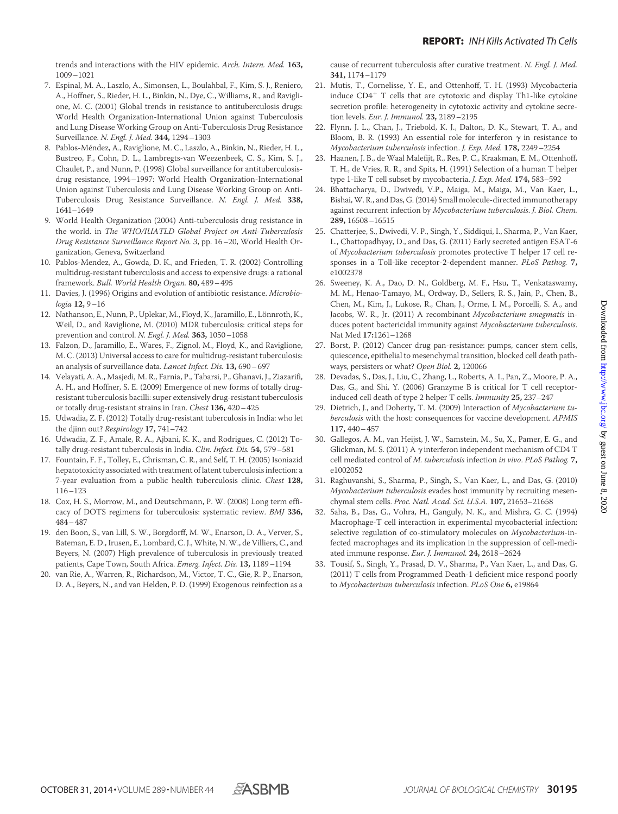trends and interactions with the HIV epidemic. *Arch. Intern. Med.* **163,** 1009–1021

- 7. Espinal, M. A., Laszlo, A., Simonsen, L., Boulahbal, F., Kim, S. J., Reniero, A., Hoffner, S., Rieder, H. L., Binkin, N., Dye, C., Williams, R., and Raviglione, M. C. (2001) Global trends in resistance to antituberculosis drugs: World Health Organization-International Union against Tuberculosis and Lung Disease Working Group on Anti-Tuberculosis Drug Resistance Surveillance. *N. Engl. J. Med.* **344,** 1294–1303
- 8. Pablos-Méndez, A., Raviglione, M. C., Laszlo, A., Binkin, N., Rieder, H. L., Bustreo, F., Cohn, D. L., Lambregts-van Weezenbeek, C. S., Kim, S. J., Chaulet, P., and Nunn, P. (1998) Global surveillance for antituberculosisdrug resistance, 1994–1997: World Health Organization-International Union against Tuberculosis and Lung Disease Working Group on Anti-Tuberculosis Drug Resistance Surveillance. *N. Engl. J. Med.* **338,** 1641–1649
- 9. World Health Organization (2004) Anti-tuberculosis drug resistance in the world. in *The WHO/IUATLD Global Project on Anti-Tuberculosis Drug Resistance Surveillance Report No. 3*, pp. 16–20, World Health Organization, Geneva, Switzerland
- 10. Pablos-Mendez, A., Gowda, D. K., and Frieden, T. R. (2002) Controlling multidrug-resistant tuberculosis and access to expensive drugs: a rational framework. *Bull. World Health Organ.* **80,** 489–495
- 11. Davies, J. (1996) Origins and evolution of antibiotic resistance. *Microbiologia* **12,** 9–16
- 12. Nathanson, E., Nunn, P., Uplekar, M., Floyd, K., Jaramillo, E., Lönnroth, K., Weil, D., and Raviglione, M. (2010) MDR tuberculosis: critical steps for prevention and control. *N. Engl. J. Med.* **363,** 1050–1058
- 13. Falzon, D., Jaramillo, E., Wares, F., Zignol, M., Floyd, K., and Raviglione, M. C. (2013) Universal access to care for multidrug-resistant tuberculosis: an analysis of surveillance data. *Lancet Infect. Dis.* **13,** 690–697
- 14. Velayati, A. A., Masjedi, M. R., Farnia, P., Tabarsi, P., Ghanavi, J., Ziazarifi, A. H., and Hoffner, S. E. (2009) Emergence of new forms of totally drugresistant tuberculosis bacilli: super extensively drug-resistant tuberculosis or totally drug-resistant strains in Iran. *Chest* **136,** 420–425
- 15. Udwadia, Z. F. (2012) Totally drug-resistant tuberculosis in India: who let the djinn out? *Respirology* **17,** 741–742
- 16. Udwadia, Z. F., Amale, R. A., Ajbani, K. K., and Rodrigues, C. (2012) Totally drug-resistant tuberculosis in India. *Clin. Infect. Dis.* **54,** 579–581
- 17. Fountain, F. F., Tolley, E., Chrisman, C. R., and Self, T. H. (2005) Isoniazid hepatotoxicity associated with treatment of latent tuberculosis infection: a 7-year evaluation from a public health tuberculosis clinic. *Chest* **128,** 116–123
- 18. Cox, H. S., Morrow, M., and Deutschmann, P. W. (2008) Long term efficacy of DOTS regimens for tuberculosis: systematic review. *BMJ* **336,** 484–487
- 19. den Boon, S., van Lill, S. W., Borgdorff, M. W., Enarson, D. A., Verver, S., Bateman, E. D., Irusen, E., Lombard, C. J., White, N. W., de Villiers, C., and Beyers, N. (2007) High prevalence of tuberculosis in previously treated patients, Cape Town, South Africa. *Emerg. Infect. Dis.* **13,** 1189–1194
- 20. van Rie, A., Warren, R., Richardson, M., Victor, T. C., Gie, R. P., Enarson, D. A., Beyers, N., and van Helden, P. D. (1999) Exogenous reinfection as a

cause of recurrent tuberculosis after curative treatment. *N. Engl. J. Med.* **341,** 1174–1179

- 21. Mutis, T., Cornelisse, Y. E., and Ottenhoff, T. H. (1993) Mycobacteria induce CD4<sup>+</sup> T cells that are cytotoxic and display Th1-like cytokine secretion profile: heterogeneity in cytotoxic activity and cytokine secretion levels. *Eur. J. Immunol.* **23,** 2189–2195
- 22. Flynn, J. L., Chan, J., Triebold, K. J., Dalton, D. K., Stewart, T. A., and Bloom, B. R. (1993) An essential role for interferon  $\gamma$  in resistance to *Mycobacterium tuberculosis* infection. *J. Exp. Med.* **178,** 2249–2254
- 23. Haanen, J. B., de Waal Malefijt, R., Res, P. C., Kraakman, E. M., Ottenhoff, T. H., de Vries, R. R., and Spits, H. (1991) Selection of a human T helper type 1-like T cell subset by mycobacteria. *J. Exp. Med.* **174,** 583–592
- 24. Bhattacharya, D., Dwivedi, V.P., Maiga, M., Maiga, M., Van Kaer, L., Bishai,W. R., and Das, G. (2014) Small molecule-directed immunotherapy against recurrent infection by *Mycobacterium tuberculosis*. *J. Biol. Chem.* **289,** 16508–16515
- 25. Chatterjee, S., Dwivedi, V. P., Singh, Y., Siddiqui, I., Sharma, P., Van Kaer, L., Chattopadhyay, D., and Das, G. (2011) Early secreted antigen ESAT-6 of *Mycobacterium tuberculosis* promotes protective T helper 17 cell responses in a Toll-like receptor-2-dependent manner. *PLoS Pathog.* **7,** e1002378
- 26. Sweeney, K. A., Dao, D. N., Goldberg, M. F., Hsu, T., Venkataswamy, M. M., Henao-Tamayo, M., Ordway, D., Sellers, R. S., Jain, P., Chen, B., Chen, M., Kim, J., Lukose, R., Chan, J., Orme, I. M., Porcelli, S. A., and Jacobs, W. R., Jr. (2011) A recombinant *Mycobacterium smegmatis* induces potent bactericidal immunity against *Mycobacterium tuberculosis*. Nat Med **17:**1261–1268
- 27. Borst, P. (2012) Cancer drug pan-resistance: pumps, cancer stem cells, quiescence, epithelial to mesenchymal transition, blocked cell death pathways, persisters or what? *Open Biol.* **2,** 120066
- 28. Devadas, S., Das, J., Liu, C., Zhang, L., Roberts, A. I., Pan, Z., Moore, P. A., Das, G., and Shi, Y. (2006) Granzyme B is critical for T cell receptorinduced cell death of type 2 helper T cells. *Immunity* **25,** 237–247
- 29. Dietrich, J., and Doherty, T. M. (2009) Interaction of *Mycobacterium tuberculosis* with the host: consequences for vaccine development. *APMIS* **117,** 440–457
- 30. Gallegos, A. M., van Heijst, J. W., Samstein, M., Su, X., Pamer, E. G., and Glickman, M. S. (2011) A  $\gamma$  interferon independent mechanism of CD4 T cell mediated control of *M. tuberculosis* infection *in vivo*. *PLoS Pathog.* **7,** e1002052
- 31. Raghuvanshi, S., Sharma, P., Singh, S., Van Kaer, L., and Das, G. (2010) *Mycobacterium tuberculosis* evades host immunity by recruiting mesenchymal stem cells. *Proc. Natl. Acad. Sci. U.S.A.* **107,** 21653–21658
- 32. Saha, B., Das, G., Vohra, H., Ganguly, N. K., and Mishra, G. C. (1994) Macrophage-T cell interaction in experimental mycobacterial infection: selective regulation of co-stimulatory molecules on *Mycobacterium*-infected macrophages and its implication in the suppression of cell-mediated immune response. *Eur. J. Immunol.* **24,** 2618–2624
- 33. Tousif, S., Singh, Y., Prasad, D. V., Sharma, P., Van Kaer, L., and Das, G. (2011) T cells from Programmed Death-1 deficient mice respond poorly to *Mycobacterium tuberculosis* infection. *PLoS One* **6,** e19864